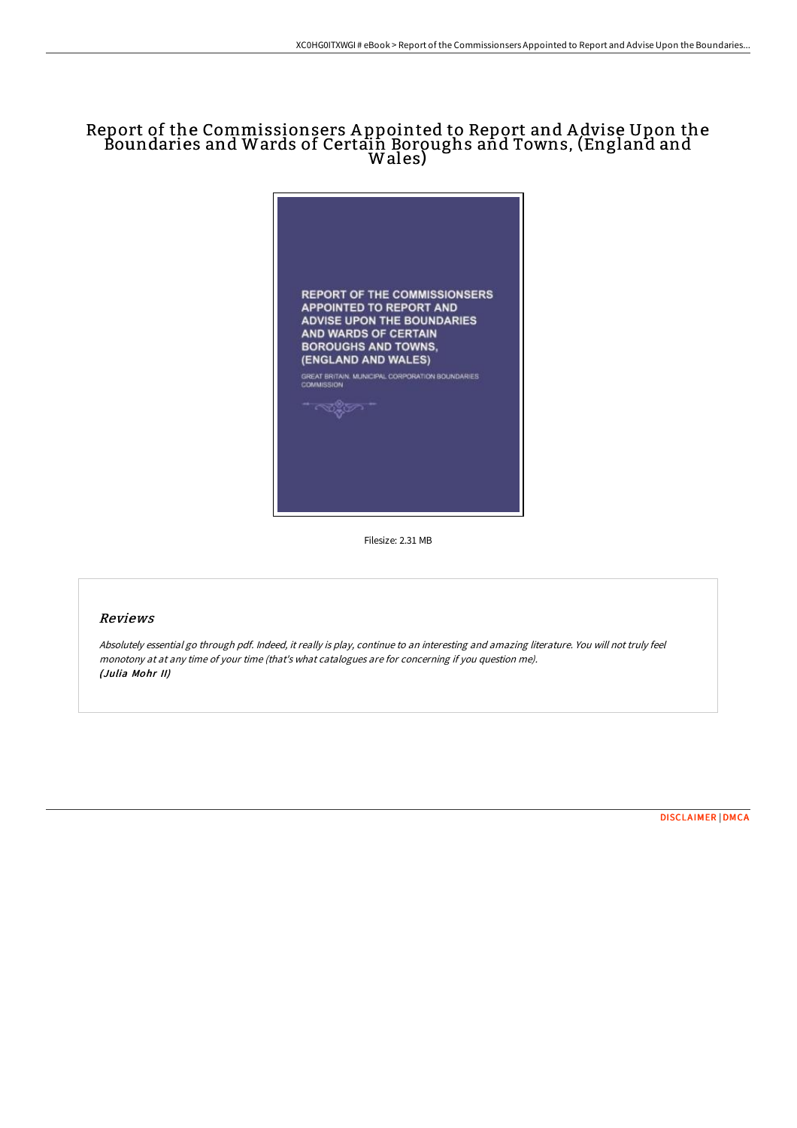## Report of the Commissionsers A ppointed to Report and A dvise Upon the Boundaries and Wards of Certain Boroughs and Towns, (England and Wales)



Filesize: 2.31 MB

## Reviews

Absolutely essential go through pdf. Indeed, it really is play, continue to an interesting and amazing literature. You will not truly feel monotony at at any time of your time (that's what catalogues are for concerning if you question me). (Julia Mohr II)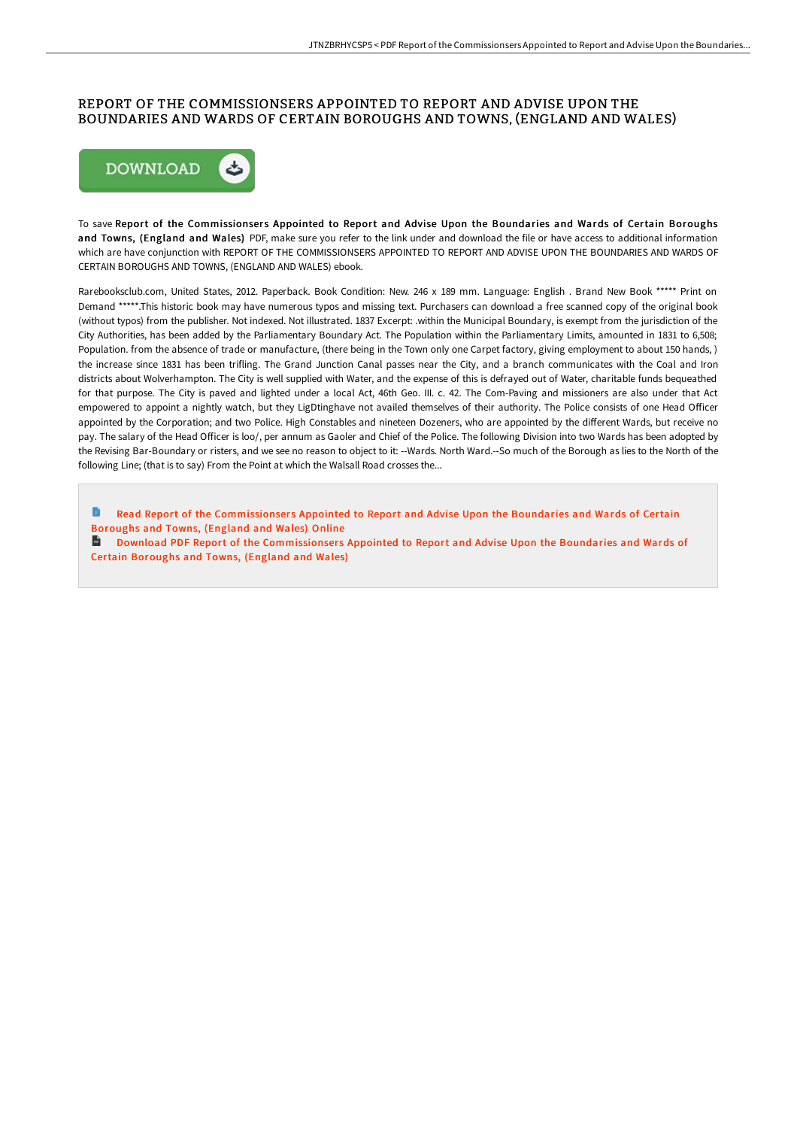## REPORT OF THE COMMISSIONSERS APPOINTED TO REPORT AND ADVISE UPON THE BOUNDARIES AND WARDS OF CERTAIN BOROUGHS AND TOWNS, (ENGLAND AND WALES)



To save Report of the Commissionsers Appointed to Report and Advise Upon the Boundaries and Wards of Certain Boroughs and Towns, (England and Wales) PDF, make sure you refer to the link under and download the file or have access to additional information which are have conjunction with REPORT OF THE COMMISSIONSERS APPOINTED TO REPORT AND ADVISE UPON THE BOUNDARIES AND WARDS OF CERTAIN BOROUGHS AND TOWNS, (ENGLAND AND WALES) ebook.

Rarebooksclub.com, United States, 2012. Paperback. Book Condition: New. 246 x 189 mm. Language: English . Brand New Book \*\*\*\*\* Print on Demand \*\*\*\*\*.This historic book may have numerous typos and missing text. Purchasers can download a free scanned copy of the original book (without typos) from the publisher. Not indexed. Not illustrated. 1837 Excerpt: .within the Municipal Boundary, is exempt from the jurisdiction of the City Authorities, has been added by the Parliamentary Boundary Act. The Population within the Parliamentary Limits, amounted in 1831 to 6,508; Population. from the absence of trade or manufacture, (there being in the Town only one Carpet factory, giving employment to about 150 hands, ) the increase since 1831 has been trifling. The Grand Junction Canal passes near the City, and a branch communicates with the Coal and Iron districts about Wolverhampton. The City is well supplied with Water, and the expense of this is defrayed out of Water, charitable funds bequeathed for that purpose. The City is paved and lighted under a local Act, 46th Geo. III. c. 42. The Com-Paving and missioners are also under that Act empowered to appoint a nightly watch, but they LigDtinghave not availed themselves of their authority. The Police consists of one Head Officer appointed by the Corporation; and two Police. High Constables and nineteen Dozeners, who are appointed by the different Wards, but receive no pay. The salary of the Head Officer is loo/, per annum as Gaoler and Chief of the Police. The following Division into two Wards has been adopted by the Revising Bar-Boundary or risters, and we see no reason to object to it: --Wards. North Ward.--So much of the Borough as lies to the North of the following Line; (that is to say) From the Point at which the Walsall Road crosses the...

Read Report of the [Commissionser](http://techno-pub.tech/report-of-the-commissionsers-appointed-to-report.html)s Appointed to Report and Advise Upon the Boundaries and Wards of Certain Boroughs and Towns, (England and Wales) Online **Download PDF Report of the [Commissionser](http://techno-pub.tech/report-of-the-commissionsers-appointed-to-report.html)s Appointed to Report and Advise Upon the Boundaries and Wards of** 

Certain Boroughs and Towns, (England and Wales)